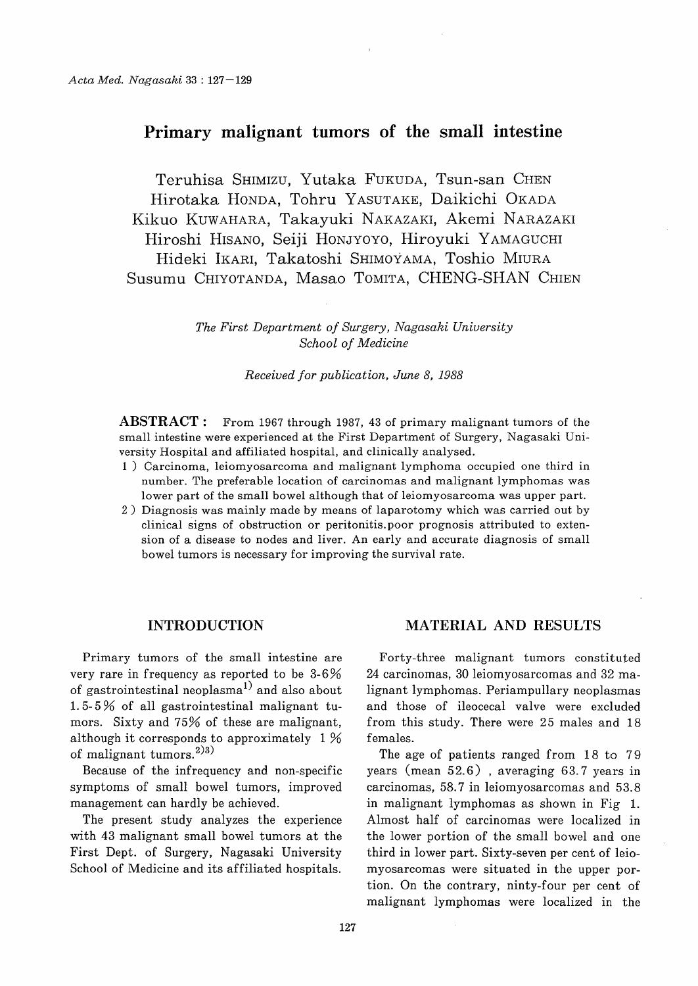# Primary malignant tumors of the small intestine

 Teruhisa SHIMIZU, Yutaka FUKUDA, Tsun-san CHEN Hirotaka HONDA, Tohru YASUTAKE, Daikichi OKADA Kikuo KUWAHARA, Takayuki NAKAZAKI, Akemi NARAZAKI Hiroshi HISANO, Seiji HONJYOYO, Hiroyuki YAMAGUCHI Hideki IKARI, Takatoshi SHIMOYAMA, Toshio MIURA Susumu CHIYOTANDA, Masao TOMITA, CHENG-SHAN CHIEN

> The First Department of Surgery, Nagasaki University School of Medicine

> > Received for publication, June 8, 1988

ABSTRACT: From 1967 through 1987, 43 of primary malignant tumors of the small intestine were experienced at the First Department of Surgery, Nagasaki University Hospital and affiliated hospital, and clinically analysed.

- 1) Carcinoma, leiomyosarcoma and malignant lymphoma occupied one third in number. The preferable location of carcinomas and malignant lymphomas was lower part of the small bowel although that of leiomyosarcoma was upper part.
- 2) Diagnosis was mainly made by means of laparotomy which was carried out by clinical signs of obstruction or peritonitis. poor prognosis attributed to extension of a disease to nodes and liver. An early and accurate diagnosis of small bowel tumors is necessary for improving the survival rate.

### INTRODUCTION

Primary tumors of the small intestine are very rare in frequency as reported to be 3-6% of gastrointestinal neoplasma<sup>1)</sup> and also about 1.5- 5 % of all gastrointestinal malignant tumors. Sixty and 75% of these are malignant, although it corresponds to approximately 1 % of malignant tumors.<sup>2)3)</sup>

Because of the infrequency and non-specific symptoms of small bowel tumors, improved management can hardly be achieved.

The present study analyzes the experience with 43 malignant small bowel tumors at the First Dept. of Surgery, Nagasaki University School of Medicine and its affiliated hospitals.

### MATERIAL AND RESULTS

Forty-three malignant tumors constituted 24 carcinomas, 30 leiomyosarcomas and 32 malignant lymphomas. Periampullary neoplasmas and those of ileocecal valve were excluded from this study. There were 25 males and 18 females.

The age of patients ranged from 18 to 79 years (mean 52.6) , averaging 63.7 years in carcinomas, 58.7 in leiomyosarcomas and 53.8 in malignant lymphomas as shown in Fig 1. Almost half of carcinomas were localized in the lower portion of the small bowel and one third in lower part. Sixty-seven per cent of leiomyosarcomas were situated in the upper portion. On the contrary, ninty-four per cent of malignant lymphomas were localized in the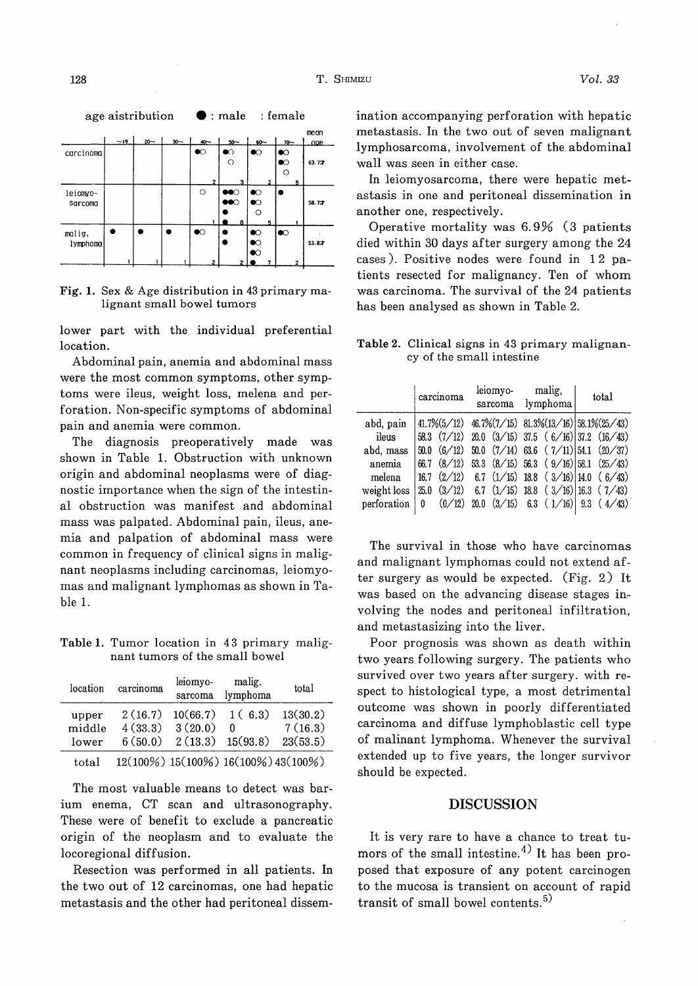age aistribution  $\bullet$  : male : female mean age carcinoma  $\bullet$  $\bullet$  $\circ$  $\bullet$  $63.77$  $\circ$  $\overline{C}$ leiomvo-Ċ sarcoma  $\bullet\bullet\circ$  $\bullet$ 58.72  $\Omega$  $\bullet$ malig  $\bullet$  $\bullet$  $\bullet$ ٠  $\bullet$  $\bullet$  $\blacksquare$  $\bullet$  $53.82$ **lymphoma**  $\bullet$ 

Fig. 1. Sex & Age distribution in 43 primary malignant small bowel tumors

lower part with the individual preferential location.

Abdominal pain, anemia and abdominal mass were the most common symptoms, other symptoms were ileus, weight loss, melena and perforation. Non-specific symptoms of abdominal pain and anemia were common.

The diagnosis preoperatively made was shown in Table 1. Obstruction with unknown origin and abdominal neoplasms were of diagnostic importance when the sign of the intestinal obstruction was manifest and abdominal mass was palpated. Abdominal pain, ileus, anemia and palpation of abdominal mass were common in frequency of clinical signs in malignant neoplasms including carcinomas, leiomyomas and malignant lymphomas as shown in Table 1.

Table 1. Tumor location in 43 primary malignant tumors of the small bowel

| location                 | carcinoma                     | leiomyo-<br>malig.<br>lymphoma<br>sarcoma |                                     | total                           |  |
|--------------------------|-------------------------------|-------------------------------------------|-------------------------------------|---------------------------------|--|
| upper<br>middle<br>lower | 2(16.7)<br>4(33.3)<br>6(50.0) | 10(66.7)<br>3(20.0)<br>$2(13.3)$ 15(93.8) | 1(6.3)<br>- 0                       | 13(30.2)<br>7(16.3)<br>23(53.5) |  |
| total                    |                               |                                           | 12(100%) 15(100%) 16(100%) 43(100%) |                                 |  |

The most valuable means to detect was barium enema, CT scan and ultrasonography. These were of benefit to exclude a pancreatic origin of the neoplasm and to evaluate the locoregional diffusion.

Resection was performed in all patients. In the two out of 12 carcinomas, one had hepatic metastasis and the other had peritoneal dissemination accompanying perforation with hepatic metastasis. In the two out of seven malignant lymphosarcoma, involvement of the abdominal wall was seen in either case.

In leiomyosarcoma, there were hepatic metastasis in one and peritoneal dissemination in another one, respectively.

Operative mortality was 6.9% (3 patients died within 30 days after surgery among the 24 cases). Positive nodes were found in 12 patients resected for malignancy. Ten of whom was carcinoma. The survival of the 24 patients has been analysed as shown in Table 2.

Table 2. Clinical signs in 43 primary malignancy of the small intestine

|             | carcinoma |                 | leiomyo-<br>sarcoma |  | malig,<br>lymphoma |                                                               | total |  |
|-------------|-----------|-----------------|---------------------|--|--------------------|---------------------------------------------------------------|-------|--|
| abd, pain   |           |                 |                     |  |                    | $41.7\%(5/12)$ $46.7\%(7/15)$ $81.3\%(13/16)$ $58.1\%(25/43)$ |       |  |
| ileus       |           |                 |                     |  |                    | 58.3 $(7/12)$ 20.0 $(3/15)$ 37.5 $(6/16)$ 37.2 $(16/43)$      |       |  |
| abd. mass   |           | 50.0 (6/12)     |                     |  |                    | 50.0 $(7/14)$ 63.6 $(7/11)$ 54.1 $(20/37)$                    |       |  |
| anemia      |           | $66.7$ $(8/12)$ |                     |  |                    | 53.3 $(8/15)$ 56.3 $(9/16)$ 58.1 $(25/43)$                    |       |  |
| melena      |           |                 |                     |  |                    | $16.7$ $(2/12)$ 6.7 $(1/15)$ 18.8 $(3/16)$ 14.0 $(6/43)$      |       |  |
| weight loss | 25.0      |                 |                     |  |                    | $(3/12)$ 6.7 $(1/15)$ 18.8 $(3/16)$ 16.3 $(7/43)$             |       |  |
| perforation | 0         | (0/12)          |                     |  |                    | $20.0$ $(3/15)$ 6.3 $(1/16)$ 9.3 $(4/43)$                     |       |  |

The survival in those who have carcinomas and malignant lymphomas could not extend after surgery as would be expected. (Fig. 2) It was based on the advancing disease stages involving the nodes and peritoneal infiltration, and metastasizing into the liver.

Poor prognosis was shown as death within two years following surgery. The patients who survived over two years after surgery. with respect to histological type, a most detrimental outcome was shown in poorly differentiated carcinoma and diffuse lymphoblastic cell type of malinant lymphoma. Whenever the survival extended up to five years, the longer survivor should be expected.

#### DISCUSSION

It is very rare to have a chance to treat tumors of the small intestine.<sup>4)</sup> It has been proposed that exposure of any potent carcinogen to the mucosa is transient on account of rapid transit of small bowel contents. 5)